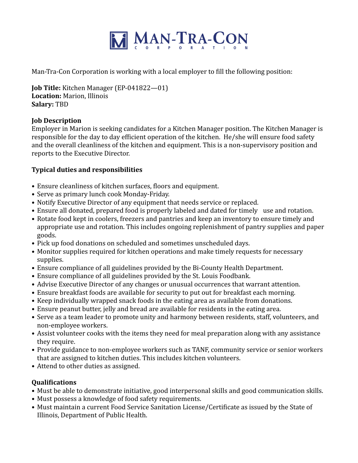

Man-Tra-Con Corporation is working with a local employer to fill the following position:

**Job Title:** Kitchen Manager (EP-041822—01) **Location:** Marion, Illinois **Salary:** TBD

## **Job Description**

Employer in Marion is seeking candidates for a Kitchen Manager position. The Kitchen Manager is responsible for the day to day efficient operation of the kitchen. He/she will ensure food safety and the overall cleanliness of the kitchen and equipment. This is a non-supervisory position and reports to the Executive Director.

## **Typical duties and responsibilities**

- Ensure cleanliness of kitchen surfaces, floors and equipment.
- Serve as primary lunch cook Monday-Friday.
- Notify Executive Director of any equipment that needs service or replaced.
- Ensure all donated, prepared food is properly labeled and dated for timely use and rotation.
- Rotate food kept in coolers, freezers and pantries and keep an inventory to ensure timely and appropriate use and rotation. This includes ongoing replenishment of pantry supplies and paper goods.
- Pick up food donations on scheduled and sometimes unscheduled days.
- Monitor supplies required for kitchen operations and make timely requests for necessary supplies.
- Ensure compliance of all guidelines provided by the Bi-County Health Department.
- Ensure compliance of all guidelines provided by the St. Louis Foodbank.
- Advise Executive Director of any changes or unusual occurrences that warrant attention.
- Ensure breakfast foods are available for security to put out for breakfast each morning.
- Keep individually wrapped snack foods in the eating area as available from donations.
- Ensure peanut butter, jelly and bread are available for residents in the eating area.
- Serve as a team leader to promote unity and harmony between residents, staff, volunteers, and non-employee workers.
- Assist volunteer cooks with the items they need for meal preparation along with any assistance they require.
- Provide guidance to non-employee workers such as TANF, community service or senior workers that are assigned to kitchen duties. This includes kitchen volunteers.
- Attend to other duties as assigned.

## **Qualifications**

- Must be able to demonstrate initiative, good interpersonal skills and good communication skills.
- Must possess a knowledge of food safety requirements.
- Must maintain a current Food Service Sanitation License/Certificate as issued by the State of Illinois, Department of Public Health.